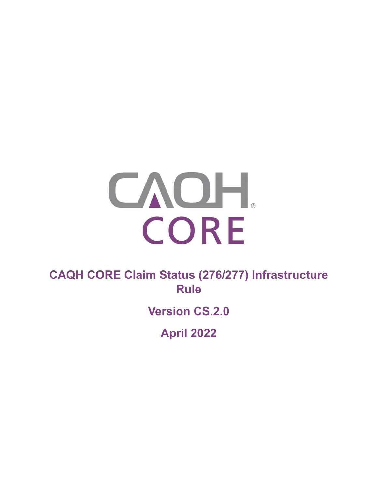

**CAQH CORE Claim Status (276/277) Infrastructure Rule** 

**Version CS.2.0**

**April 2022**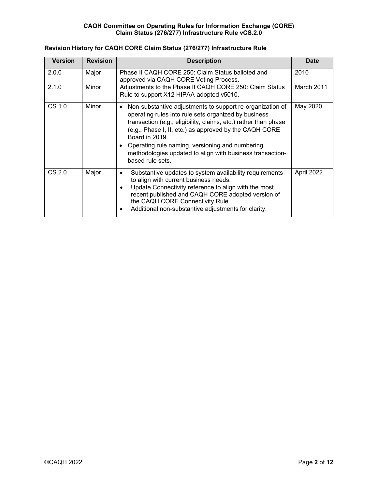| <b>Version</b> | <b>Revision</b> | <b>Description</b>                                                                                                                                                                                                                                                                                                                                                                                                             | <b>Date</b> |
|----------------|-----------------|--------------------------------------------------------------------------------------------------------------------------------------------------------------------------------------------------------------------------------------------------------------------------------------------------------------------------------------------------------------------------------------------------------------------------------|-------------|
| 2.0.0          | Major           | Phase II CAQH CORE 250: Claim Status balloted and<br>approved via CAQH CORE Voting Process.                                                                                                                                                                                                                                                                                                                                    | 2010        |
| 2.1.0          | Minor           | Adjustments to the Phase II CAQH CORE 250: Claim Status<br>Rule to support X12 HIPAA-adopted v5010.                                                                                                                                                                                                                                                                                                                            | March 2011  |
| CS.1.0         | Minor           | Non-substantive adjustments to support re-organization of<br>$\bullet$<br>operating rules into rule sets organized by business<br>transaction (e.g., eligibility, claims, etc.) rather than phase<br>(e.g., Phase I, II, etc.) as approved by the CAQH CORE<br>Board in 2019.<br>Operating rule naming, versioning and numbering<br>$\bullet$<br>methodologies updated to align with business transaction-<br>based rule sets. | May 2020    |
| CS.2.0         | Major           | Substantive updates to system availability requirements<br>$\bullet$<br>to align with current business needs.<br>Update Connectivity reference to align with the most<br>$\bullet$<br>recent published and CAQH CORE adopted version of<br>the CAQH CORE Connectivity Rule.<br>Additional non-substantive adjustments for clarity.<br>٠                                                                                        | April 2022  |

# **Revision History for CAQH CORE Claim Status (276/277) Infrastructure Rule**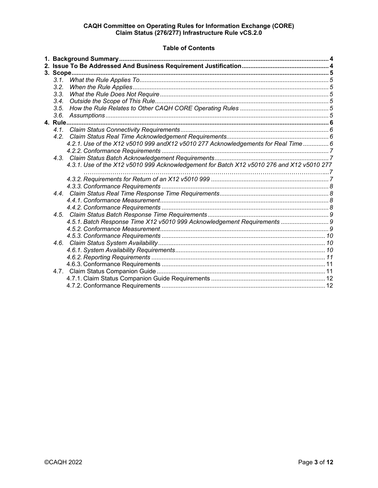## **Table of Contents**

| 3.1. |                                                                                           |  |  |  |  |
|------|-------------------------------------------------------------------------------------------|--|--|--|--|
| 3.2. |                                                                                           |  |  |  |  |
| 3.3. |                                                                                           |  |  |  |  |
| 3.4. |                                                                                           |  |  |  |  |
| 3.5. |                                                                                           |  |  |  |  |
| 3.6. |                                                                                           |  |  |  |  |
|      |                                                                                           |  |  |  |  |
|      |                                                                                           |  |  |  |  |
|      |                                                                                           |  |  |  |  |
|      | 4.2.1. Use of the X12 v5010 999 and X12 v5010 277 Acknowledgements for Real Time  6       |  |  |  |  |
|      |                                                                                           |  |  |  |  |
|      |                                                                                           |  |  |  |  |
|      | 4.3.1. Use of the X12 v5010 999 Acknowledgement for Batch X12 v5010 276 and X12 v5010 277 |  |  |  |  |
|      |                                                                                           |  |  |  |  |
|      |                                                                                           |  |  |  |  |
|      |                                                                                           |  |  |  |  |
|      |                                                                                           |  |  |  |  |
|      |                                                                                           |  |  |  |  |
|      |                                                                                           |  |  |  |  |
|      |                                                                                           |  |  |  |  |
|      | 4.5.1. Batch Response Time X12 v5010 999 Acknowledgement Requirements  9                  |  |  |  |  |
|      |                                                                                           |  |  |  |  |
|      |                                                                                           |  |  |  |  |
|      |                                                                                           |  |  |  |  |
|      |                                                                                           |  |  |  |  |
|      |                                                                                           |  |  |  |  |
|      |                                                                                           |  |  |  |  |
|      |                                                                                           |  |  |  |  |
|      |                                                                                           |  |  |  |  |
|      |                                                                                           |  |  |  |  |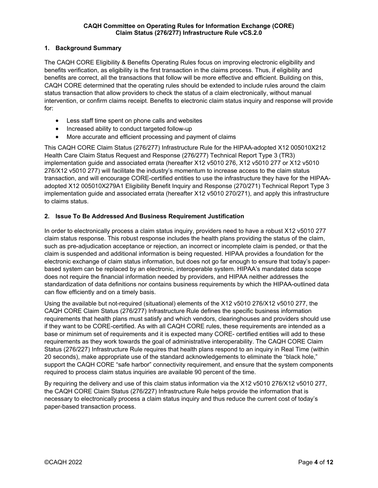## <span id="page-3-0"></span>**1. Background Summary**

The CAQH CORE Eligibility & Benefits Operating Rules focus on improving electronic eligibility and benefits verification, as eligibility is the first transaction in the claims process. Thus, if eligibility and benefits are correct, all the transactions that follow will be more effective and efficient. Building on this, CAQH CORE determined that the operating rules should be extended to include rules around the claim status transaction that allow providers to check the status of a claim electronically, without manual intervention, or confirm claims receipt. Benefits to electronic claim status inquiry and response will provide for:

- Less staff time spent on phone calls and websites
- Increased ability to conduct targeted follow-up
- More accurate and efficient processing and payment of claims

This CAQH CORE Claim Status (276/277) Infrastructure Rule for the HIPAA-adopted X12 005010X212 Health Care Claim Status Request and Response (276/277) Technical Report Type 3 (TR3) implementation guide and associated errata (hereafter X12 v5010 276, X12 v5010 277 or X12 v5010 276/X12 v5010 277) will facilitate the industry's momentum to increase access to the claim status transaction, and will encourage CORE-certified entities to use the infrastructure they have for the HIPAAadopted X12 005010X279A1 Eligibility Benefit Inquiry and Response (270/271) Technical Report Type 3 implementation guide and associated errata (hereafter X12 v5010 270/271), and apply this infrastructure to claims status.

## <span id="page-3-1"></span>**2. Issue To Be Addressed And Business Requirement Justification**

In order to electronically process a claim status inquiry, providers need to have a robust X12 v5010 277 claim status response. This robust response includes the health plans providing the status of the claim, such as pre-adjudication acceptance or rejection, an incorrect or incomplete claim is pended, or that the claim is suspended and additional information is being requested. HIPAA provides a foundation for the electronic exchange of claim status information, but does not go far enough to ensure that today's paperbased system can be replaced by an electronic, interoperable system. HIPAA's mandated data scope does not require the financial information needed by providers, and HIPAA neither addresses the standardization of data definitions nor contains business requirements by which the HIPAA-outlined data can flow efficiently and on a timely basis.

Using the available but not-required (situational) elements of the X12 v5010 276/X12 v5010 277, the CAQH CORE Claim Status (276/277) Infrastructure Rule defines the specific business information requirements that health plans must satisfy and which vendors, clearinghouses and providers should use if they want to be CORE-certified. As with all CAQH CORE rules, these requirements are intended as a base or minimum set of requirements and it is expected many CORE- certified entities will add to these requirements as they work towards the goal of administrative interoperability. The CAQH CORE Claim Status (276/227) Infrastructure Rule requires that health plans respond to an inquiry in Real Time (within 20 seconds), make appropriate use of the standard acknowledgements to eliminate the "black hole," support the CAQH CORE "safe harbor" connectivity requirement, and ensure that the system components required to process claim status inquiries are available 90 percent of the time.

By requiring the delivery and use of this claim status information via the X12 v5010 276/X12 v5010 277, the CAQH CORE Claim Status (276/227) Infrastructure Rule helps provide the information that is necessary to electronically process a claim status inquiry and thus reduce the current cost of today's paper-based transaction process.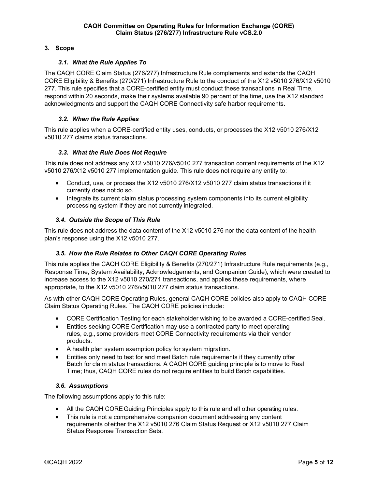## <span id="page-4-0"></span>**3. Scope**

## *3.1. What the Rule Applies To*

<span id="page-4-1"></span>The CAQH CORE Claim Status (276/277) Infrastructure Rule complements and extends the CAQH CORE Eligibility & Benefits (270/271) Infrastructure Rule to the conduct of the X12 v5010 276/X12 v5010 277. This rule specifies that a CORE-certified entity must conduct these transactions in Real Time, respond within 20 seconds, make their systems available 90 percent of the time, use the X12 standard acknowledgments and support the CAQH CORE Connectivity safe harbor requirements.

## *3.2. When the Rule Applies*

<span id="page-4-2"></span>This rule applies when a CORE-certified entity uses, conducts, or processes the X12 v5010 276/X12 v5010 277 claims status transactions.

## *3.3. What the Rule Does Not Require*

<span id="page-4-3"></span>This rule does not address any X12 v5010 276/v5010 277 transaction content requirements of the X12 v5010 276/X12 v5010 277 implementation guide. This rule does not require any entity to:

- Conduct, use, or process the X12 v5010 276/X12 v5010 277 claim status transactions if it currently does notdo so.
- Integrate its current claim status processing system components into its current eligibility processing system if they are not currently integrated.

## <span id="page-4-4"></span>*3.4. Outside the Scope of This Rule*

This rule does not address the data content of the X12 v5010 276 nor the data content of the health plan's response using the X12 v5010 277.

#### <span id="page-4-5"></span>*3.5. How the Rule Relates to Other CAQH CORE Operating Rules*

This rule applies the CAQH CORE Eligibility & Benefits (270/271) Infrastructure Rule requirements (e.g., Response Time, System Availability, Acknowledgements, and Companion Guide), which were created to increase access to the X12 v5010 270/271 transactions, and applies these requirements, where appropriate, to the X12 v5010 276/v5010 277 claim status transactions.

As with other CAQH CORE Operating Rules, general CAQH CORE policies also apply to CAQH CORE Claim Status Operating Rules. The CAQH CORE policies include:

- CORE Certification Testing for each stakeholder wishing to be awarded a CORE-certified Seal.
- Entities seeking CORE Certification may use a contracted party to meet operating rules, e.g., some providers meet CORE Connectivity requirements via their vendor products.
- A health plan system exemption policy for system migration.
- Entities only need to test for and meet Batch rule requirements if they currently offer Batch for claim status transactions. A CAQH CORE guiding principle is to move to Real Time; thus, CAQH CORE rules do not require entities to build Batch capabilities.

#### <span id="page-4-6"></span>*3.6. Assumptions*

The following assumptions apply to this rule:

- All the CAQH CORE Guiding Principles apply to this rule and all other operating rules.
- This rule is not a comprehensive companion document addressing any content requirements ofeither the X12 v5010 276 Claim Status Request or X12 v5010 277 Claim Status Response Transaction Sets.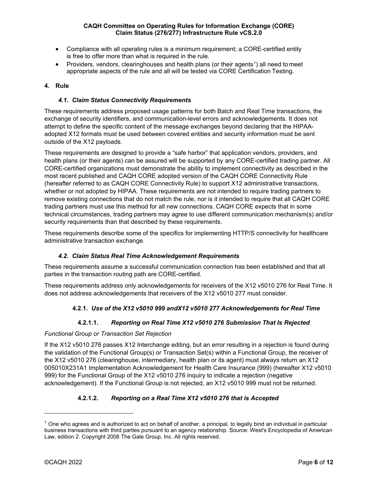- Compliance with all operating rules is a minimum requirement; a CORE-certified entity is free to offer more than what is required in the rule.
- Providers, vendors, clearinghouses and health plans (or their agents<sup>1</sup>) all need to meet appropriate aspects of the rule and all will be tested via CORE Certification Testing.

## <span id="page-5-0"></span>**4. Rule**

## *4.1. Claim Status Connectivity Requirements*

<span id="page-5-1"></span>These requirements address proposed usage patterns for both Batch and Real Time transactions, the exchange of security identifiers, and communication-level errors and acknowledgements. It does not attempt to define the specific content of the message exchanges beyond declaring that the HIPAAadopted X12 formats must be used between covered entities and security information must be sent outside of the X12 payloads.

These requirements are designed to provide a "safe harbor" that application vendors, providers, and health plans (or their agents) can be assured will be supported by any CORE-certified trading partner. All CORE-certified organizations must demonstrate the ability to implement connectivity as described in the most recent published and CAQH CORE adopted version of the CAQH CORE Connectivity Rule (hereafter referred to as CAQH CORE Connectivity Rule) to support X12 administrative transactions, whether or not adopted by HIPAA. These requirements are not intended to require trading partners to remove existing connections that do not match the rule, nor is it intended to require that all CAQH CORE trading partners must use this method for all new connections. CAQH CORE expects that in some technical circumstances, trading partners may agree to use different communication mechanism(s) and/or security requirements than that described by these requirements.

These requirements describe some of the specifics for implementing HTTP/S connectivity for healthcare administrative transaction exchange.

#### *4.2. Claim Status Real Time Acknowledgement Requirements*

<span id="page-5-2"></span>These requirements assume a successful communication connection has been established and that all parties in the transaction routing path are CORE-certified.

These requirements address only acknowledgements for receivers of the X12 v5010 276 for Real Time. It does not address acknowledgements that receivers of the X12 v5010 277 must consider.

## <span id="page-5-3"></span>**4.2.1.** *Use of the X12 v5010 999 andX12 v5010 277 Acknowledgements for Real Time*

## **4.2.1.1.** *Reporting on Real Time X12 v5010 276 Submission That Is Rejected*

#### *Functional Group or Transaction Set Rejection*

If the X12 v5010 276 passes X12 Interchange editing, but an error resulting in a rejection is found during the validation of the Functional Group(s) or Transaction Set(s) within a Functional Group, the receiver of the X12 v5010 276 (clearinghouse, intermediary, health plan or its agent) must always return an X12 005010X231A1 Implementation Acknowledgement for Health Care Insurance (999) (hereafter X12 v5010 999) for the Functional Group of the X12 v5010 276 inquiry to indicate a rejection (negative acknowledgement). If the Functional Group is not rejected, an X12 v5010 999 must not be returned.

## **4.2.1.2.** *Reporting on a Real Time X12 v5010 276 that is Accepted*

<span id="page-5-4"></span> $1$  One who agrees and is authorized to act on behalf of another, a principal, to legally bind an individual in particular business transactions with third parties pursuant to an agency relationship. Source: West's Encyclopedia of American Law, edition 2. Copyright 2008 The Gale Group, Inc. All rights reserved.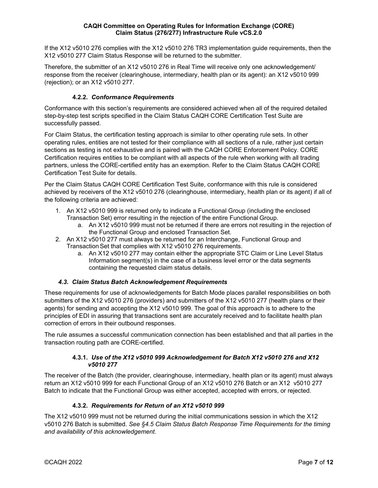If the X12 v5010 276 complies with the X12 v5010 276 TR3 implementation guide requirements, then the X12 v5010 277 Claim Status Response will be returned to the submitter.

Therefore, the submitter of an X12 v5010 276 in Real Time will receive only one acknowledgement/ response from the receiver (clearinghouse, intermediary, health plan or its agent): an X12 v5010 999 (rejection); or an X12 v5010 277.

## <span id="page-6-0"></span>**4.2.2.** *Conformance Requirements*

Conformance with this section's requirements are considered achieved when all of the required detailed step-by-step test scripts specified in the Claim Status CAQH CORE Certification Test Suite are successfully passed.

For Claim Status, the certification testing approach is similar to other operating rule sets. In other operating rules, entities are not tested for their compliance with all sections of a rule, rather just certain sections as testing is not exhaustive and is paired with the CAQH CORE Enforcement Policy. CORE Certification requires entities to be compliant with all aspects of the rule when working with all trading partners, unless the CORE-certified entity has an exemption. Refer to the Claim Status CAQH CORE Certification Test Suite for details.

Per the Claim Status CAQH CORE Certification Test Suite, conformance with this rule is considered achieved by receivers of the X12 v5010 276 (clearinghouse, intermediary, health plan or its agent) if all of the following criteria are achieved:

- 1. An X12 v5010 999 is returned only to indicate a Functional Group (including the enclosed Transaction Set) error resulting in the rejection of the entire Functional Group.
	- a. An X12 v5010 999 must not be returned if there are errors not resulting in the rejection of the Functional Group and enclosed Transaction Set.
- 2. An X12 v5010 277 must always be returned for an Interchange, Functional Group and Transaction Set that complies with X12 v5010 276 requirements.
	- a. An X12 v5010 277 may contain either the appropriate STC Claim or Line Level Status Information segment(s) in the case of a business level error or the data segments containing the requested claim status details.

## *4.3. Claim Status Batch Acknowledgement Requirements*

<span id="page-6-1"></span>These requirements for use of acknowledgements for Batch Mode places parallel responsibilities on both submitters of the X12 v5010 276 (providers) and submitters of the X12 v5010 277 (health plans or their agents) for sending and accepting the X12 v5010 999. The goal of this approach is to adhere to the principles of EDI in assuring that transactions sent are accurately received and to facilitate health plan correction of errors in their outbound responses.

The rule assumes a successful communication connection has been established and that all parties in the transaction routing path are CORE-certified.

#### <span id="page-6-2"></span>**4.3.1.** *Use of the X12 v5010 999 Acknowledgement for Batch X12 v5010 276 and X12 v5010 277*

The receiver of the Batch (the provider, clearinghouse, intermediary, health plan or its agent) must always return an X12 v5010 999 for each Functional Group of an X12 v5010 276 Batch or an X12 v5010 277 Batch to indicate that the Functional Group was either accepted, accepted with errors, or rejected.

## <span id="page-6-3"></span>**4.3.2.** *Requirements for Return of an X12 v5010 999*

The X12 v5010 999 must not be returned during the initial communications session in which the X12 v5010 276 Batch is submitted. *See §4.5 Claim Status Batch Response Time Requirements for the timing and availability of this acknowledgement.*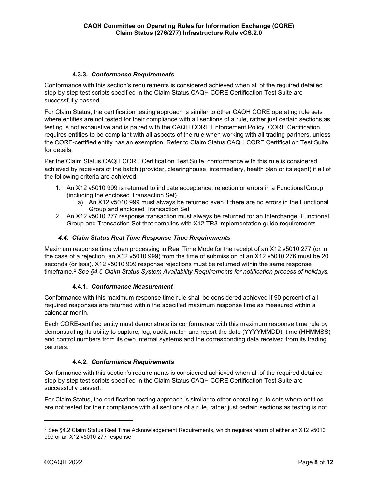## <span id="page-7-0"></span>**4.3.3.** *Conformance Requirements*

Conformance with this section's requirements is considered achieved when all of the required detailed step-by-step test scripts specified in the Claim Status CAQH CORE Certification Test Suite are successfully passed.

For Claim Status, the certification testing approach is similar to other CAQH CORE operating rule sets where entities are not tested for their compliance with all sections of a rule, rather just certain sections as testing is not exhaustive and is paired with the CAQH CORE Enforcement Policy. CORE Certification requires entities to be compliant with all aspects of the rule when working with all trading partners, unless the CORE-certified entity has an exemption. Refer to Claim Status CAQH CORE Certification Test Suite for details.

Per the Claim Status CAQH CORE Certification Test Suite, conformance with this rule is considered achieved by receivers of the batch (provider, clearinghouse, intermediary, health plan or its agent) if all of the following criteria are achieved:

- 1. An X12 v5010 999 is returned to indicate acceptance, rejection or errors in a FunctionalGroup (including the enclosed Transaction Set)
	- a) An X12 v5010 999 must always be returned even if there are no errors in the Functional Group and enclosed Transaction Set
- 2. An X12 v5010 277 response transaction must always be returned for an Interchange, Functional Group and Transaction Set that complies with X12 TR3 implementation guide requirements.

## *4.4. Claim Status Real Time Response Time Requirements*

<span id="page-7-1"></span>Maximum response time when processing in Real Time Mode for the receipt of an X12 v5010 277 (or in the case of a rejection, an X12 v5010 999) from the time of submission of an X12 v5010 276 must be 20 seconds (or less). X12 v5010 999 response rejections must be returned within the same response timeframe.[2](#page-7-4) *See §4.6 Claim Status System Availability Requirements for notification process of holidays.*

## <span id="page-7-2"></span>**4.4.1.** *Conformance Measurement*

Conformance with this maximum response time rule shall be considered achieved if 90 percent of all required responses are returned within the specified maximum response time as measured within a calendar month.

Each CORE-certified entity must demonstrate its conformance with this maximum response time rule by demonstrating its ability to capture, log, audit, match and report the date (YYYYMMDD), time (HHMMSS) and control numbers from its own internal systems and the corresponding data received from its trading partners.

## <span id="page-7-3"></span>**4.4.2.** *Conformance Requirements*

Conformance with this section's requirements is considered achieved when all of the required detailed step-by-step test scripts specified in the Claim Status CAQH CORE Certification Test Suite are successfully passed.

For Claim Status, the certification testing approach is similar to other operating rule sets where entities are not tested for their compliance with all sections of a rule, rather just certain sections as testing is not

<span id="page-7-4"></span><sup>2</sup> See §4.2 Claim Status Real Time Acknowledgement Requirements, which requires return of either an X12 v5010 999 or an X12 v5010 277 response.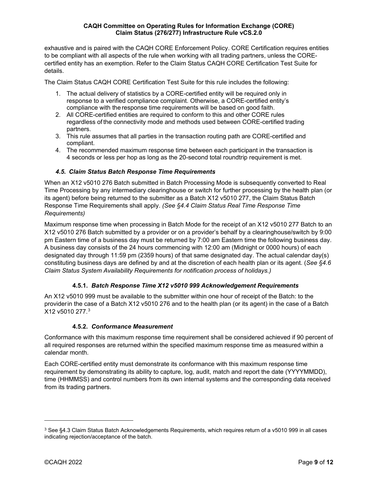exhaustive and is paired with the CAQH CORE Enforcement Policy. CORE Certification requires entities to be compliant with all aspects of the rule when working with all trading partners, unless the COREcertified entity has an exemption. Refer to the Claim Status CAQH CORE Certification Test Suite for details.

The Claim Status CAQH CORE Certification Test Suite for this rule includes the following:

- 1. The actual delivery of statistics by a CORE-certified entity will be required only in response to a verified compliance complaint. Otherwise, a CORE-certified entity's compliance with the response time requirements will be based on good faith.
- 2. All CORE-certified entities are required to conform to this and other CORE rules regardless of the connectivity mode and methods used between CORE-certified trading partners.
- 3. This rule assumes that all parties in the transaction routing path are CORE-certified and compliant.
- 4. The recommended maximum response time between each participant in the transaction is 4 seconds or less per hop as long as the 20-second total roundtrip requirement is met.

## <span id="page-8-0"></span>*4.5. Claim Status Batch Response Time Requirements*

When an X12 v5010 276 Batch submitted in Batch Processing Mode is subsequently converted to Real Time Processing by any intermediary clearinghouse or switch for further processing by the health plan (or its agent) before being returned to the submitter as a Batch X12 v5010 277, the Claim Status Batch Response Time Requirements shall apply. *(See §4.4 Claim Status Real Time Response Time Requirements)*

Maximum response time when processing in Batch Mode for the receipt of an X12 v5010 277 Batch to an X12 v5010 276 Batch submitted by a provider or on a provider's behalf by a clearinghouse/switch by 9:00 pm Eastern time of a business day must be returned by 7:00 am Eastern time the following business day. A business day consists of the 24 hours commencing with 12:00 am (Midnight or 0000 hours) of each designated day through 11:59 pm (2359 hours) of that same designated day. The actual calendar day(s) constituting business days are defined by and at the discretion of each health plan or its agent. (*See §4.6 Claim Status System Availability Requirements for notification process of holidays.)*

## <span id="page-8-1"></span>**4.5.1.** *Batch Response Time X12 v5010 999 Acknowledgement Requirements*

An X12 v5010 999 must be available to the submitter within one hour of receipt of the Batch: to the providerin the case of a Batch X12 v5010 276 and to the health plan (or its agent) in the case of a Batch X12 v5010 277.[3](#page-8-3)

#### <span id="page-8-2"></span>**4.5.2.** *Conformance Measurement*

Conformance with this maximum response time requirement shall be considered achieved if 90 percent of all required responses are returned within the specified maximum response time as measured within a calendar month.

Each CORE-certified entity must demonstrate its conformance with this maximum response time requirement by demonstrating its ability to capture, log, audit, match and report the date (YYYYMMDD), time (HHMMSS) and control numbers from its own internal systems and the corresponding data received from its trading partners.

<span id="page-8-3"></span><sup>3</sup> See §4.3 Claim Status Batch Acknowledgements Requirements, which requires return of a v5010 999 in all cases indicating rejection/acceptance of the batch.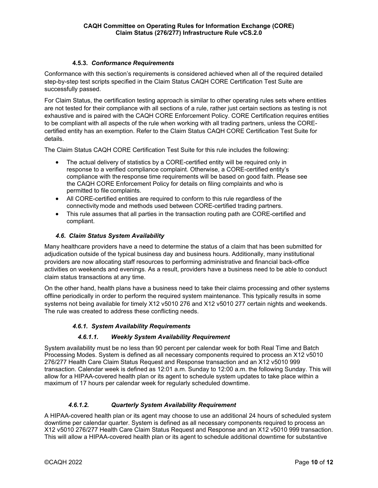## <span id="page-9-0"></span>**4.5.3.** *Conformance Requirements*

Conformance with this section's requirements is considered achieved when all of the required detailed step-by-step test scripts specified in the Claim Status CAQH CORE Certification Test Suite are successfully passed.

For Claim Status, the certification testing approach is similar to other operating rules sets where entities are not tested for their compliance with all sections of a rule, rather just certain sections as testing is not exhaustive and is paired with the CAQH CORE Enforcement Policy. CORE Certification requires entities to be compliant with all aspects of the rule when working with all trading partners, unless the COREcertified entity has an exemption. Refer to the Claim Status CAQH CORE Certification Test Suite for details.

The Claim Status CAQH CORE Certification Test Suite for this rule includes the following:

- The actual delivery of statistics by a CORE-certified entity will be required only in response to a verified compliance complaint. Otherwise, a CORE-certified entity's compliance with the response time requirements will be based on good faith. Please see the CAQH CORE Enforcement Policy for details on filing complaints and who is permitted to file complaints.
- All CORE-certified entities are required to conform to this rule regardless of the connectivity mode and methods used between CORE-certified trading partners.
- This rule assumes that all parties in the transaction routing path are CORE-certified and compliant.

## <span id="page-9-1"></span>*4.6. Claim Status System Availability*

Many healthcare providers have a need to determine the status of a claim that has been submitted for adjudication outside of the typical business day and business hours. Additionally, many institutional providers are now allocating staff resources to performing administrative and financial back-office activities on weekends and evenings. As a result, providers have a business need to be able to conduct claim status transactions at any time.

On the other hand, health plans have a business need to take their claims processing and other systems offline periodically in order to perform the required system maintenance. This typically results in some systems not being available for timely X12 v5010 276 and X12 v5010 277 certain nights and weekends. The rule was created to address these conflicting needs.

#### <span id="page-9-2"></span>*4.6.1. System Availability Requirements*

#### *4.6.1.1. Weekly System Availability Requirement*

System availability must be no less than 90 percent per calendar week for both Real Time and Batch Processing Modes. System is defined as all necessary components required to process an X12 v5010 276/277 Health Care Claim Status Request and Response transaction and an X12 v5010 999 transaction. Calendar week is defined as 12:01 a.m. Sunday to 12:00 a.m. the following Sunday. This will allow for a HIPAA-covered health plan or its agent to schedule system updates to take place within a maximum of 17 hours per calendar week for regularly scheduled downtime.

#### *4.6.1.2. Quarterly System Availability Requirement*

A HIPAA-covered health plan or its agent may choose to use an additional 24 hours of scheduled system downtime per calendar quarter. System is defined as all necessary components required to process an X12 v5010 276/277 Health Care Claim Status Request and Response and an X12 v5010 999 transaction. This will allow a HIPAA-covered health plan or its agent to schedule additional downtime for substantive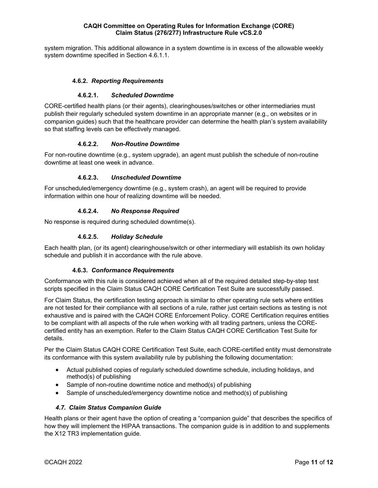system migration. This additional allowance in a system downtime is in excess of the allowable weekly system downtime specified in Section 4.6.1.1.

## <span id="page-10-0"></span>**4.6.2.** *Reporting Requirements*

## **4.6.2.1.** *Scheduled Downtime*

CORE-certified health plans (or their agents), clearinghouses/switches or other intermediaries must publish their regularly scheduled system downtime in an appropriate manner (e.g., on websites or in companion guides) such that the healthcare provider can determine the health plan's system availability so that staffing levels can be effectively managed.

#### **4.6.2.2.** *Non-Routine Downtime*

For non-routine downtime (e.g., system upgrade), an agent must publish the schedule of non-routine downtime at least one week in advance.

## **4.6.2.3.** *Unscheduled Downtime*

For unscheduled/emergency downtime (e.g., system crash), an agent will be required to provide information within one hour of realizing downtime will be needed.

## **4.6.2.4.** *No Response Required*

No response is required during scheduled downtime(s).

## **4.6.2.5.** *Holiday Schedule*

Each health plan, (or its agent) clearinghouse/switch or other intermediary will establish its own holiday schedule and publish it in accordance with the rule above.

#### <span id="page-10-1"></span>**4.6.3.** *Conformance Requirements*

Conformance with this rule is considered achieved when all of the required detailed step-by-step test scripts specified in the Claim Status CAQH CORE Certification Test Suite are successfully passed.

For Claim Status, the certification testing approach is similar to other operating rule sets where entities are not tested for their compliance with all sections of a rule, rather just certain sections as testing is not exhaustive and is paired with the CAQH CORE Enforcement Policy. CORE Certification requires entities to be compliant with all aspects of the rule when working with all trading partners, unless the COREcertified entity has an exemption. Refer to the Claim Status CAQH CORE Certification Test Suite for details.

Per the Claim Status CAQH CORE Certification Test Suite, each CORE-certified entity must demonstrate its conformance with this system availability rule by publishing the following documentation:

- Actual published copies of regularly scheduled downtime schedule, including holidays, and method(s) of publishing
- Sample of non-routine downtime notice and method(s) of publishing
- Sample of unscheduled/emergency downtime notice and method(s) of publishing

#### <span id="page-10-2"></span>*4.7. Claim Status Companion Guide*

Health plans or their agent have the option of creating a "companion guide" that describes the specifics of how they will implement the HIPAA transactions. The companion guide is in addition to and supplements the X12 TR3 implementation guide.